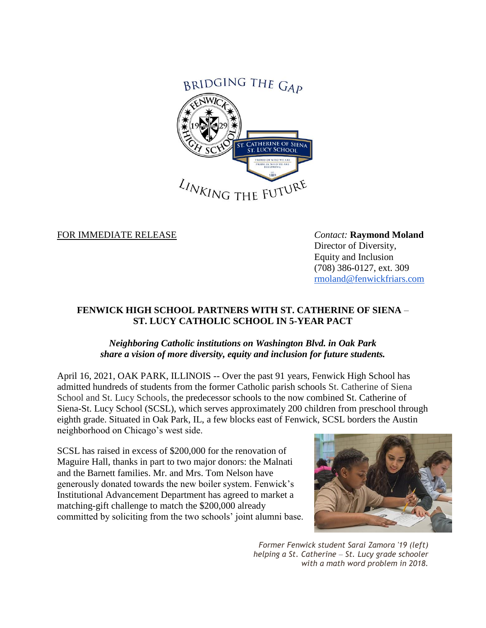

FOR IMMEDIATE RELEASE *Contact:* **Raymond Moland**

Director of Diversity, Equity and Inclusion (708) 386-0127, ext. 309 [rmoland@fenwickfriars.com](mailto:rmoland@fenwickfriars.com)

## **FENWICK HIGH SCHOOL PARTNERS WITH ST. CATHERINE OF SIENA** – **ST. LUCY CATHOLIC SCHOOL IN 5-YEAR PACT**

## *Neighboring Catholic institutions on Washington Blvd. in Oak Park share a vision of more diversity, equity and inclusion for future students.*

April 16, 2021, OAK PARK, ILLINOIS -- Over the past 91 years, Fenwick High School has admitted hundreds of students from the former Catholic parish schools St. Catherine of Siena School and St. Lucy Schools, the predecessor schools to the now combined St. Catherine of Siena-St. Lucy School (SCSL), which serves approximately 200 children from preschool through eighth grade. Situated in Oak Park, IL, a few blocks east of Fenwick, SCSL borders the Austin neighborhood on Chicago's west side.

SCSL has raised in excess of \$200,000 for the renovation of Maguire Hall, thanks in part to two major donors: the Malnati and the Barnett families. Mr. and Mrs. Tom Nelson have generously donated towards the new boiler system. Fenwick's Institutional Advancement Department has agreed to market a matching-gift challenge to match the \$200,000 already committed by soliciting from the two schools' joint alumni base.



*Former Fenwick student Sarai Zamora '19 (left) helping a St. Catherine* – *St. Lucy grade schooler with a math word problem in 2018.*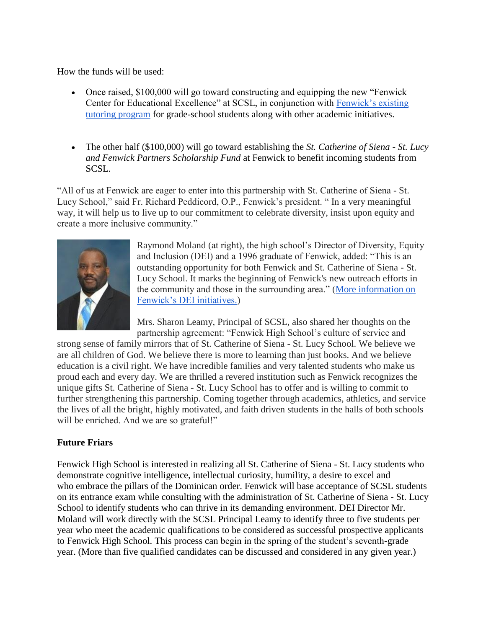How the funds will be used:

- Once raised, \$100,000 will go toward constructing and equipping the new "Fenwick Center for Educational Excellence" at SCSL, in conjunction with [Fenwick's existing](http://www.fenwickfriars.com/teen-tutors-take-pride-in-helping-younger-students-during-math-power-hour/)  [tutoring program](http://www.fenwickfriars.com/teen-tutors-take-pride-in-helping-younger-students-during-math-power-hour/) for grade-school students along with other academic initiatives.
- The other half (\$100,000) will go toward establishing the *St. Catherine of Siena - St. Lucy and Fenwick Partners Scholarship Fund* at Fenwick to benefit incoming students from SCSL.

"All of us at Fenwick are eager to enter into this partnership with St. Catherine of Siena - St. Lucy School," said Fr. Richard Peddicord, O.P., Fenwick's president. " In a very meaningful way, it will help us to live up to our commitment to celebrate diversity, insist upon equity and create a more inclusive community."



Raymond Moland (at right), the high school's Director of Diversity, Equity and Inclusion (DEI) and a 1996 graduate of Fenwick, added: "This is an outstanding opportunity for both Fenwick and St. Catherine of Siena - St. Lucy School. It marks the beginning of Fenwick's new outreach efforts in the community and those in the surrounding area." [\(More information on](http://www.fenwickfriars.com/about/diversity-equity-inclusion/)  [Fenwick's DEI initiatives.\)](http://www.fenwickfriars.com/about/diversity-equity-inclusion/)

Mrs. Sharon Leamy, Principal of SCSL, also shared her thoughts on the partnership agreement: "Fenwick High School's culture of service and

strong sense of family mirrors that of St. Catherine of Siena - St. Lucy School. We believe we are all children of God. We believe there is more to learning than just books. And we believe education is a civil right. We have incredible families and very talented students who make us proud each and every day. We are thrilled a revered institution such as Fenwick recognizes the unique gifts St. Catherine of Siena - St. Lucy School has to offer and is willing to commit to further strengthening this partnership. Coming together through academics, athletics, and service the lives of all the bright, highly motivated, and faith driven students in the halls of both schools will be enriched. And we are so grateful!"

## **Future Friars**

Fenwick High School is interested in realizing all St. Catherine of Siena - St. Lucy students who demonstrate cognitive intelligence, intellectual curiosity, humility, a desire to excel and who embrace the pillars of the Dominican order. Fenwick will base acceptance of SCSL students on its entrance exam while consulting with the administration of St. Catherine of Siena - St. Lucy School to identify students who can thrive in its demanding environment. DEI Director Mr. Moland will work directly with the SCSL Principal Leamy to identify three to five students per year who meet the academic qualifications to be considered as successful prospective applicants to Fenwick High School. This process can begin in the spring of the student's seventh-grade year. (More than five qualified candidates can be discussed and considered in any given year.)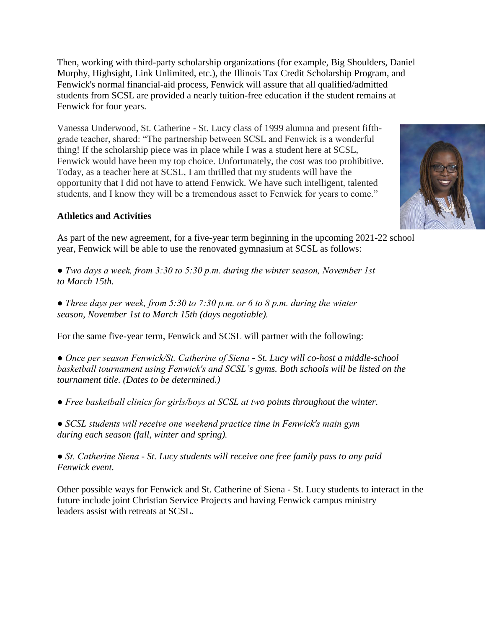Then, working with third-party scholarship organizations (for example, Big Shoulders, Daniel Murphy, Highsight, Link Unlimited, etc.), the Illinois Tax Credit Scholarship Program, and Fenwick's normal financial-aid process, Fenwick will assure that all qualified/admitted students from SCSL are provided a nearly tuition-free education if the student remains at Fenwick for four years.

Vanessa Underwood, St. Catherine - St. Lucy class of 1999 alumna and present fifthgrade teacher, shared: "The partnership between SCSL and Fenwick is a wonderful thing! If the scholarship piece was in place while I was a student here at SCSL, Fenwick would have been my top choice. Unfortunately, the cost was too prohibitive. Today, as a teacher here at SCSL, I am thrilled that my students will have the opportunity that I did not have to attend Fenwick. We have such intelligent, talented students, and I know they will be a tremendous asset to Fenwick for years to come."



## **Athletics and Activities**

As part of the new agreement, for a five-year term beginning in the upcoming 2021-22 school year, Fenwick will be able to use the renovated gymnasium at SCSL as follows:

*● Two days a week, from 3:30 to 5:30 p.m. during the winter season, November 1st to March 15th.*

*● Three days per week, from 5:30 to 7:30 p.m. or 6 to 8 p.m. during the winter season, November 1st to March 15th (days negotiable).*

For the same five-year term, Fenwick and SCSL will partner with the following:

*● Once per season Fenwick/St. Catherine of Siena - St. Lucy will co-host a middle-school basketball tournament using Fenwick's and SCSL's gyms. Both schools will be listed on the tournament title. (Dates to be determined.)*

*● Free basketball clinics for girls/boys at SCSL at two points throughout the winter.*

*● SCSL students will receive one weekend practice time in Fenwick's main gym during each season (fall, winter and spring).*

*● St. Catherine Siena - St. Lucy students will receive one free family pass to any paid Fenwick event.*

Other possible ways for Fenwick and St. Catherine of Siena - St. Lucy students to interact in the future include joint Christian Service Projects and having Fenwick campus ministry leaders assist with retreats at SCSL.